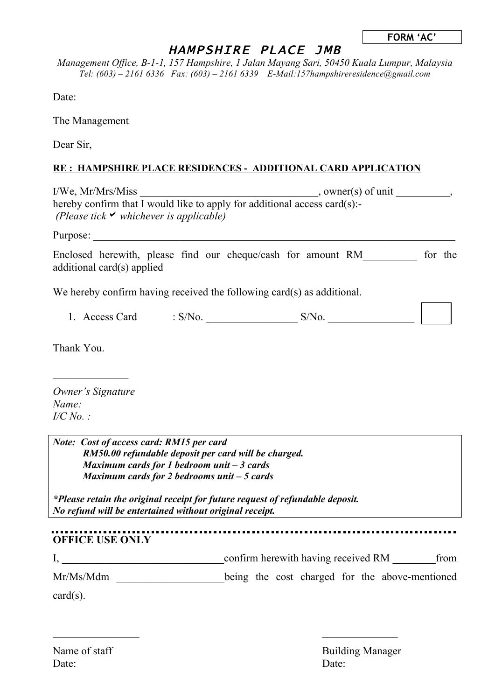| <b>FORM 'AC'</b> |  |
|------------------|--|
|------------------|--|

┑

## HAMPSHIRE PLACE JMB

*Management Office, B-1-1, 157 Hampshire, 1 Jalan Mayang Sari, 50450 Kuala Lumpur, Malaysia Tel: (603) – 2161 6336 Fax: (603) – 2161 6339 E-Mail:157hampshireresidence@gmail.com*

Date:

The Management

Dear Sir,

## **RE : HAMPSHIRE PLACE RESIDENCES - ADDITIONAL CARD APPLICATION**

| $I/We$ , $Mr/Mrs/Miss$                                                        | , owner(s) of unit |  |
|-------------------------------------------------------------------------------|--------------------|--|
| hereby confirm that I would like to apply for additional access card $(s)$ :- |                    |  |
| (Please tick $\triangledown$ whichever is applicable)                         |                    |  |
| Purpose:                                                                      |                    |  |

Enclosed herewith, please find our cheque/cash for amount RM for the additional card(s) applied

We hereby confirm having received the following card(s) as additional.

|  | Access Card | $^{\prime}$ N $\alpha$ | $N_{0}$<br>. J / ' |  |  |
|--|-------------|------------------------|--------------------|--|--|
|--|-------------|------------------------|--------------------|--|--|

Thank You.

*Owner's Signature Name: I/C No. :*

*Note: Cost of access card: RM15 per card RM50.00 refundable deposit per card will be charged. Maximum cards for 1 bedroom unit – 3 cards Maximum cards for 2 bedrooms unit – 5 cards*

*\*Please retain the original receipt for future request of refundable deposit. No refund will be entertained without original receipt.*

**OFFICE USE ONLY**

I, \_\_\_\_\_\_\_\_\_\_\_\_\_\_\_\_\_\_\_\_\_\_\_\_\_\_\_\_\_\_confirm herewith having received RM \_\_\_\_\_\_\_\_from Mr/Ms/Mdm \_\_\_\_\_\_\_\_\_\_\_\_\_\_\_\_\_\_\_\_being the cost charged for the above-mentioned

 $\mathcal{L}_\text{max}$  , we can also assume that the contract of  $\mathcal{L}_\text{max}$ 

card(s).